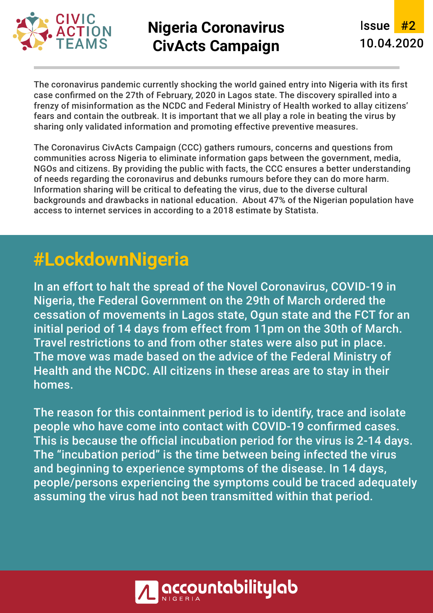

## **Nigeria Coronavirus CivActs Campaign**

Issue #2 10.04.2020

The coronavirus pandemic currently shocking the world gained entry into Nigeria with its first case confirmed on the 27th of February, 2020 in Lagos state. The discovery spiralled into a frenzy of misinformation as the NCDC and Federal Ministry of Health worked to allay citizens' fears and contain the outbreak. It is important that we all play a role in beating the virus by sharing only validated information and promoting effective preventive measures.

The Coronavirus CivActs Campaign (CCC) gathers rumours, concerns and questions from communities across Nigeria to eliminate information gaps between the government, media, NGOs and citizens. By providing the public with facts, the CCC ensures a better understanding of needs regarding the coronavirus and debunks rumours before they can do more harm. Information sharing will be critical to defeating the virus, due to the diverse cultural backgrounds and drawbacks in national education. About 47% of the Nigerian population have access to internet services in according to a 2018 estimate by Statista.

# **#LockdownNigeria**

In an effort to halt the spread of the Novel Coronavirus, COVID-19 in Nigeria, the Federal Government on the 29th of March ordered the cessation of movements in Lagos state, Ogun state and the FCT for an initial period of 14 days from effect from 11pm on the 30th of March. Travel restrictions to and from other states were also put in place. The move was made based on the advice of the Federal Ministry of Health and the NCDC. All citizens in these areas are to stay in their homes.

The reason for this containment period is to identify, trace and isolate people who have come into contact with COVID-19 confirmed cases. This is because the official incubation period for the virus is 2-14 days. The "incubation period" is the time between being infected the virus and beginning to experience symptoms of the disease. In 14 days, people/persons experiencing the symptoms could be traced adequately assuming the virus had not been transmitted within that period.

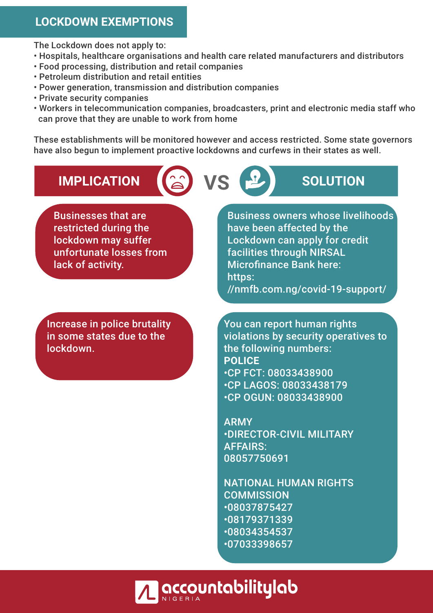#### **LOCKDOWN EXEMPTIONS**

The Lockdown does not apply to:

- Hospitals, healthcare organisations and health care related manufacturers and distributors
- Food processing, distribution and retail companies
- Petroleum distribution and retail entities
- Power generation, transmission and distribution companies
- Private security companies
- Workers in telecommunication companies, broadcasters, print and electronic media staff who can prove that they are unable to work from home

These establishments will be monitored however and access restricted. Some state governors have also begun to implement proactive lockdowns and curfews in their states as well.

# **IMPLICATION ( a) VS <b>P** SOLUTION

Businesses that are restricted during the lockdown may suffer unfortunate losses from lack of activity.

Increase in police brutality in some states due to the lockdown.

Business owners whose livelihoods have been affected by the Lockdown can apply for credit facilities through NIRSAL Microfinance Bank here: https: //nmfb.com.ng/covid-19-support/

You can report human rights violations by security operatives to the following numbers: **POLICE** • CP FCT: 08033438900 • CP LAGOS: 08033438179 • CP OGUN: 08033438900

ARMY • DIRECTOR-CIVIL MILITARY AFFAIRS: 08057750691

NATIONAL HUMAN RIGHTS **COMMISSION** • 08037875427 • 08179371339 • 08034354537 • 07033398657

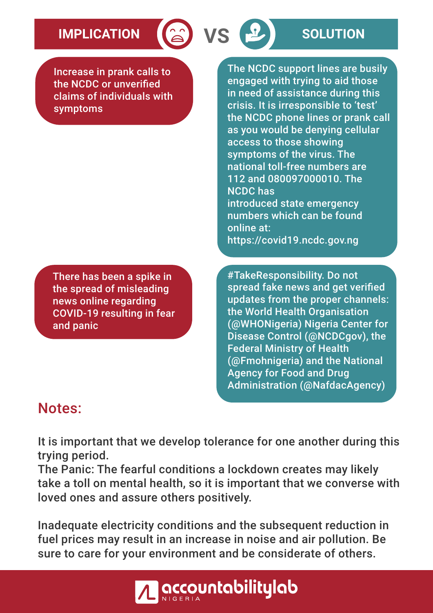# **IMPLICATION 8 VS B SOLUTION**

Increase in prank calls to the NCDC or unverified claims of individuals with symptoms

There has been a spike in the spread of misleading news online regarding COVID-19 resulting in fear and panic

The NCDC support lines are busily engaged with trying to aid those in need of assistance during this crisis. It is irresponsible to 'test' the NCDC phone lines or prank call as you would be denying cellular access to those showing symptoms of the virus. The national toll-free numbers are 112 and 080097000010. The NCDC has introduced state emergency numbers which can be found online at: https://covid19.ncdc.gov.ng

#TakeResponsibility. Do not spread fake news and get verified updates from the proper channels: the World Health Organisation (@WHONigeria) Nigeria Center for Disease Control (@NCDCgov), the Federal Ministry of Health (@Fmohnigeria) and the National Agency for Food and Drug Administration (@NafdacAgency)

### Notes:

It is important that we develop tolerance for one another during this trying period.

The Panic: The fearful conditions a lockdown creates may likely take a toll on mental health, so it is important that we converse with loved ones and assure others positively.

Inadequate electricity conditions and the subsequent reduction in fuel prices may result in an increase in noise and air pollution. Be sure to care for your environment and be considerate of others.